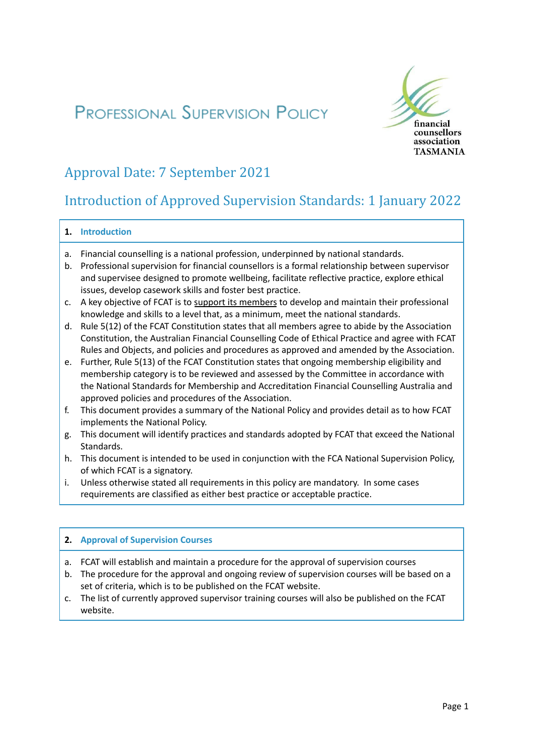# **PROFESSIONAL SUPERVISION POLICY**



## Approval Date: 7 September 2021

### Introduction of Approved Supervision Standards: 1 January 2022

#### **1. Introduction**

- a. Financial counselling is a national profession, underpinned by national standards.
- b. Professional supervision for financial counsellors is a formal relationship between supervisor and supervisee designed to promote wellbeing, facilitate reflective practice, explore ethical issues, develop casework skills and foster best practice.
- c. A key objective of FCAT is to support its members to develop and maintain their professional knowledge and skills to a level that, as a minimum, meet the national standards.
- d. Rule 5(12) of the FCAT Constitution states that all members agree to abide by the Association Constitution, the Australian Financial Counselling Code of Ethical Practice and agree with FCAT Rules and Objects, and policies and procedures as approved and amended by the Association.
- e. Further, Rule 5(13) of the FCAT Constitution states that ongoing membership eligibility and membership category is to be reviewed and assessed by the Committee in accordance with the National Standards for Membership and Accreditation Financial Counselling Australia and approved policies and procedures of the Association.
- f. This document provides a summary of the National Policy and provides detail as to how FCAT implements the National Policy.
- g. This document will identify practices and standards adopted by FCAT that exceed the National Standards.
- h. This document is intended to be used in conjunction with the FCA National Supervision Policy, of which FCAT is a signatory.
- i. Unless otherwise stated all requirements in this policy are mandatory. In some cases requirements are classified as either best practice or acceptable practice.

#### **2. Approval of Supervision Courses**

- a. FCAT will establish and maintain a procedure for the approval of supervision courses
- b. The procedure for the approval and ongoing review of supervision courses will be based on a set of criteria, which is to be published on the FCAT website.
- c. The list of currently approved supervisor training courses will also be published on the FCAT website.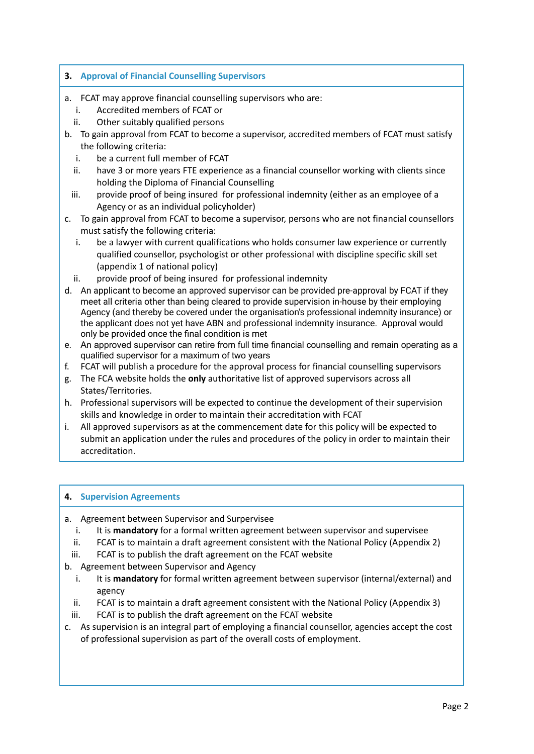#### **3. Approval of Financial Counselling Supervisors**

- a. FCAT may approve financial counselling supervisors who are:
	- i. Accredited members of FCAT or
	- ii. Other suitably qualified persons
- b. To gain approval from FCAT to become a supervisor, accredited members of FCAT must satisfy the following criteria:
	- i. be a current full member of FCAT
	- ii. have 3 or more years FTE experience as a financial counsellor working with clients since holding the Diploma of Financial Counselling
	- iii. provide proof of being insured for professional indemnity (either as an employee of a Agency or as an individual policyholder)
- c. To gain approval from FCAT to become a supervisor, persons who are not financial counsellors must satisfy the following criteria:
	- i. be a lawyer with current qualifications who holds consumer law experience or currently qualified counsellor, psychologist or other professional with discipline specific skill set (appendix 1 of national policy)
	- ii. provide proof of being insured for professional indemnity
- d. An applicant to become an approved supervisor can be provided pre-approval by FCAT if they meet all criteria other than being cleared to provide supervision in-house by their employing Agency (and thereby be covered under the organisation's professional indemnity insurance) or the applicant does not yet have ABN and professional indemnity insurance. Approval would only be provided once the final condition is met
- e. An approved supervisor can retire from full time financial counselling and remain operating as a qualified supervisor for a maximum of two years
- f. FCAT will publish a procedure for the approval process for financial counselling supervisors
- g. The FCA website holds the **only** authoritative list of approved supervisors across all States/Territories.
- h. Professional supervisors will be expected to continue the development of their supervision skills and knowledge in order to maintain their accreditation with FCAT
- i. All approved supervisors as at the commencement date for this policy will be expected to submit an application under the rules and procedures of the policy in order to maintain their accreditation.

#### **4. Supervision Agreements**

- a. Agreement between Supervisor and Surpervisee
	- i. It is **mandatory** for a formal written agreement between supervisor and supervisee
	- ii. FCAT is to maintain a draft agreement consistent with the National Policy (Appendix 2)
- iii. FCAT is to publish the draft agreement on the FCAT website
- b. Agreement between Supervisor and Agency
	- i. It is **mandatory** for formal written agreement between supervisor (internal/external) and agency
	- ii. FCAT is to maintain a draft agreement consistent with the National Policy (Appendix 3)
- iii. FCAT is to publish the draft agreement on the FCAT website
- c. As supervision is an integral part of employing a financial counsellor, agencies accept the cost of professional supervision as part of the overall costs of employment.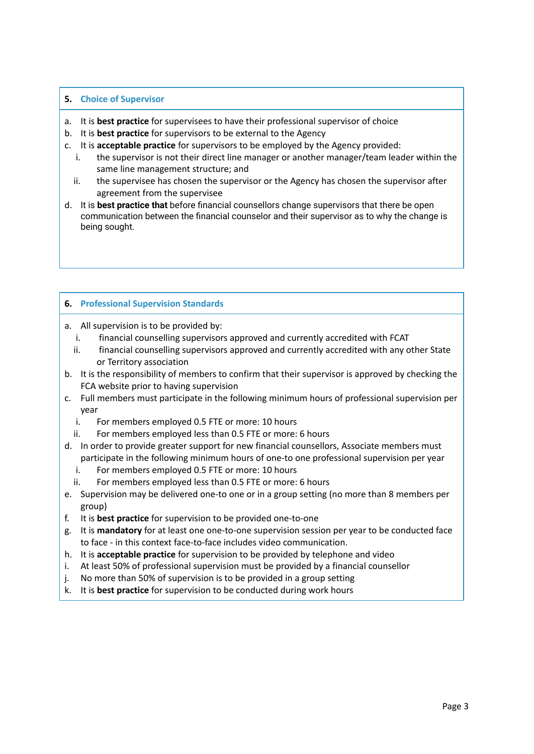#### **5. Choice of Supervisor**

- a. It is **best practice** for supervisees to have their professional supervisor of choice
- b. It is **best practice** for supervisors to be external to the Agency
- c. It is **acceptable practice** for supervisors to be employed by the Agency provided:
	- i. the supervisor is not their direct line manager or another manager/team leader within the same line management structure; and
	- ii. the supervisee has chosen the supervisor or the Agency has chosen the supervisor after agreement from the supervisee
- d. It is **best practice that** before financial counsellors change supervisors that there be open communication between the financial counselor and their supervisor as to why the change is being sought.

#### **6. Professional Supervision Standards**

- a. All supervision is to be provided by:
	- i. financial counselling supervisors approved and currently accredited with FCAT
	- ii. financial counselling supervisors approved and currently accredited with any other State or Territory association
- b. It is the responsibility of members to confirm that their supervisor is approved by checking the FCA website prior to having supervision
- c. Full members must participate in the following minimum hours of professional supervision per year
	- i. For members employed 0.5 FTE or more: 10 hours
	- ii. For members employed less than 0.5 FTE or more: 6 hours
- d. In order to provide greater support for new financial counsellors, Associate members must participate in the following minimum hours of one-to one professional supervision per year
	- i. For members employed 0.5 FTE or more: 10 hours
	- ii. For members employed less than 0.5 FTE or more: 6 hours
- e. Supervision may be delivered one-to one or in a group setting (no more than 8 members per group)
- f. It is **best practice** for supervision to be provided one-to-one
- g. It is **mandatory** for at least one one-to-one supervision session per year to be conducted face to face - in this context face-to-face includes video communication.
- h. It is **acceptable practice** for supervision to be provided by telephone and video
- i. At least 50% of professional supervision must be provided by a financial counsellor
- j. No more than 50% of supervision is to be provided in a group setting
- k. It is **best practice** for supervision to be conducted during work hours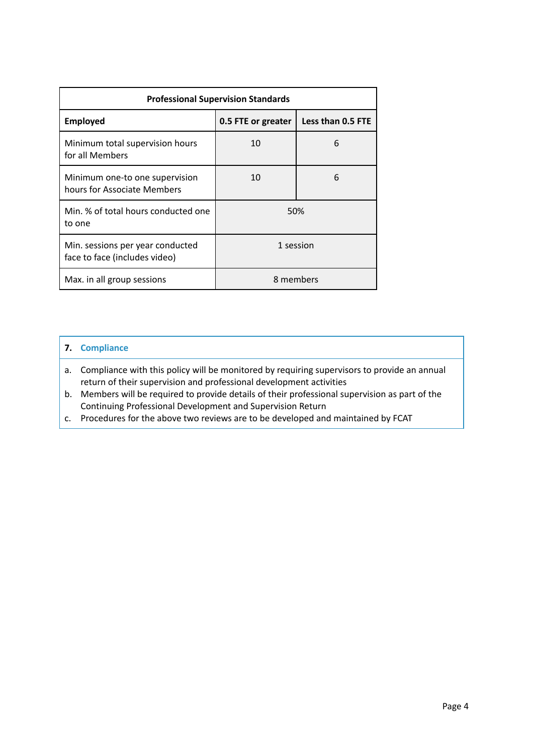| <b>Professional Supervision Standards</b>                         |                    |                   |
|-------------------------------------------------------------------|--------------------|-------------------|
| <b>Employed</b>                                                   | 0.5 FTE or greater | Less than 0.5 FTE |
| Minimum total supervision hours<br>for all Members                | 10                 | 6                 |
| Minimum one-to one supervision<br>hours for Associate Members     | 10                 | 6                 |
| Min. % of total hours conducted one<br>to one                     | 50%                |                   |
| Min. sessions per year conducted<br>face to face (includes video) | 1 session          |                   |
| Max. in all group sessions                                        | 8 members          |                   |

#### **7. Compliance**

- a. Compliance with this policy will be monitored by requiring supervisors to provide an annual return of their supervision and professional development activities
- b. Members will be required to provide details of their professional supervision as part of the Continuing Professional Development and Supervision Return
- c. Procedures for the above two reviews are to be developed and maintained by FCAT